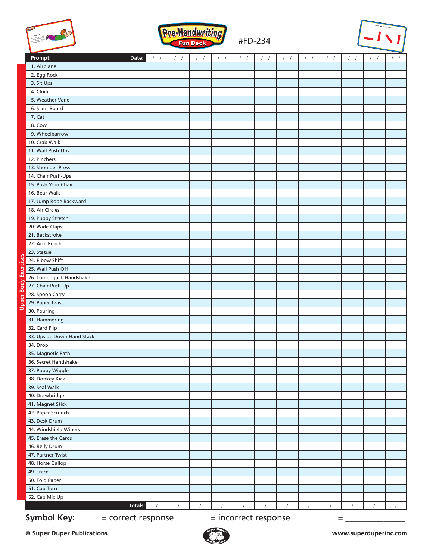





|                             |                            |            |                |            |                        |            |            |                        |                  |                        |                        |                  | $\rightarrow$<br>$\left  \right $ |
|-----------------------------|----------------------------|------------|----------------|------------|------------------------|------------|------------|------------------------|------------------|------------------------|------------------------|------------------|-----------------------------------|
|                             | Prompt:<br>Date:           | $\prime$ / | $\sqrt{ }$     | $\sqrt{2}$ | $\left  \quad \right $ | $\sqrt{2}$ | $\sqrt{ }$ | $\left  \quad \right $ | $\left  \right $ | $\prime$<br>$\sqrt{ }$ | $\sqrt{ }$<br>$\prime$ | $\left  \right $ |                                   |
|                             | 1. Airplane                |            |                |            |                        |            |            |                        |                  |                        |                        |                  |                                   |
|                             | 2. Egg Rock                |            |                |            |                        |            |            |                        |                  |                        |                        |                  |                                   |
|                             | 3. Sit Ups                 |            |                |            |                        |            |            |                        |                  |                        |                        |                  |                                   |
|                             | 4. Clock                   |            |                |            |                        |            |            |                        |                  |                        |                        |                  |                                   |
|                             | 5. Weather Vane            |            |                |            |                        |            |            |                        |                  |                        |                        |                  |                                   |
|                             | 6. Slant Board             |            |                |            |                        |            |            |                        |                  |                        |                        |                  |                                   |
|                             | 7. Cat                     |            |                |            |                        |            |            |                        |                  |                        |                        |                  |                                   |
|                             | 8. Cow                     |            |                |            |                        |            |            |                        |                  |                        |                        |                  |                                   |
|                             | 9. Wheelbarrow             |            |                |            |                        |            |            |                        |                  |                        |                        |                  |                                   |
|                             | 10. Crab Walk              |            |                |            |                        |            |            |                        |                  |                        |                        |                  |                                   |
|                             | 11. Wall Push-Ups          |            |                |            |                        |            |            |                        |                  |                        |                        |                  |                                   |
|                             | 12. Pinchers               |            |                |            |                        |            |            |                        |                  |                        |                        |                  |                                   |
|                             | 13. Shoulder Press         |            |                |            |                        |            |            |                        |                  |                        |                        |                  |                                   |
|                             | 14. Chair Push-Ups         |            |                |            |                        |            |            |                        |                  |                        |                        |                  |                                   |
|                             | 15. Push Your Chair        |            |                |            |                        |            |            |                        |                  |                        |                        |                  |                                   |
|                             | 16. Bear Walk              |            |                |            |                        |            |            |                        |                  |                        |                        |                  |                                   |
|                             | 17. Jump Rope Backward     |            |                |            |                        |            |            |                        |                  |                        |                        |                  |                                   |
|                             | 18. Air Circles            |            |                |            |                        |            |            |                        |                  |                        |                        |                  |                                   |
|                             | 19. Puppy Stretch          |            |                |            |                        |            |            |                        |                  |                        |                        |                  |                                   |
|                             | 20. Wide Claps             |            |                |            |                        |            |            |                        |                  |                        |                        |                  |                                   |
|                             | 21. Backstroke             |            |                |            |                        |            |            |                        |                  |                        |                        |                  |                                   |
|                             | 22. Arm Reach              |            |                |            |                        |            |            |                        |                  |                        |                        |                  |                                   |
|                             | 23. Statue                 |            |                |            |                        |            |            |                        |                  |                        |                        |                  |                                   |
|                             | 24. Elbow Shift            |            |                |            |                        |            |            |                        |                  |                        |                        |                  |                                   |
|                             | 25. Wall Push Off          |            |                |            |                        |            |            |                        |                  |                        |                        |                  |                                   |
|                             | 26. Lumberjack Handshake   |            |                |            |                        |            |            |                        |                  |                        |                        |                  |                                   |
|                             | 27. Chair Push-Up          |            |                |            |                        |            |            |                        |                  |                        |                        |                  |                                   |
|                             | 28. Spoon Carry            |            |                |            |                        |            |            |                        |                  |                        |                        |                  |                                   |
| <b>Upper Body Exercises</b> | 29. Paper Twist            |            |                |            |                        |            |            |                        |                  |                        |                        |                  |                                   |
|                             | 30. Pouring                |            |                |            |                        |            |            |                        |                  |                        |                        |                  |                                   |
|                             | 31. Hammering              |            |                |            |                        |            |            |                        |                  |                        |                        |                  |                                   |
|                             | 32. Card Flip              |            |                |            |                        |            |            |                        |                  |                        |                        |                  |                                   |
|                             | 33. Upside Down Hand Stack |            |                |            |                        |            |            |                        |                  |                        |                        |                  |                                   |
|                             | 34. Drop                   |            |                |            |                        |            |            |                        |                  |                        |                        |                  |                                   |
|                             | 35. Magnetic Path          |            |                |            |                        |            |            |                        |                  |                        |                        |                  |                                   |
|                             | 36. Secret Handshake       |            |                |            |                        |            |            |                        |                  |                        |                        |                  |                                   |
|                             | 37. Puppy Wiggle           |            |                |            |                        |            |            |                        |                  |                        |                        |                  |                                   |
|                             | 38. Donkey Kick            |            |                |            |                        |            |            |                        |                  |                        |                        |                  |                                   |
|                             | 39. Seal Walk              |            |                |            |                        |            |            |                        |                  |                        |                        |                  |                                   |
|                             | 40. Drawbridge             |            |                |            |                        |            |            |                        |                  |                        |                        |                  |                                   |
|                             | 41. Magnet Stick           |            |                |            |                        |            |            |                        |                  |                        |                        |                  |                                   |
|                             | 42. Paper Scrunch          |            |                |            |                        |            |            |                        |                  |                        |                        |                  |                                   |
|                             | 43. Desk Drum              |            |                |            |                        |            |            |                        |                  |                        |                        |                  |                                   |
|                             | 44. Windshield Wipers      |            |                |            |                        |            |            |                        |                  |                        |                        |                  |                                   |
|                             | 45. Erase the Cards        |            |                |            |                        |            |            |                        |                  |                        |                        |                  |                                   |
|                             | 46. Belly Drum             |            |                |            |                        |            |            |                        |                  |                        |                        |                  |                                   |
|                             | 47. Partner Twist          |            |                |            |                        |            |            |                        |                  |                        |                        |                  |                                   |
|                             | 48. Horse Gallop           |            |                |            |                        |            |            |                        |                  |                        |                        |                  |                                   |
|                             | 49. Trace                  |            |                |            |                        |            |            |                        |                  |                        |                        |                  |                                   |
|                             | 50. Fold Paper             |            |                |            |                        |            |            |                        |                  |                        |                        |                  |                                   |
|                             | 51. Cap Turn               |            |                |            |                        |            |            |                        |                  |                        |                        |                  |                                   |
|                             | 52. Cap Mix Up             |            |                |            |                        |            |            |                        |                  |                        |                        |                  |                                   |
|                             | Totals:                    | $\sqrt{2}$ | $\overline{1}$ | $\sqrt{2}$ | $\sqrt{2}$             | $\sqrt{2}$ | $\sqrt{ }$ |                        |                  | $\sqrt{2}$             | $\sqrt{2}$             | $\sqrt{2}$       | $\sqrt{2}$                        |

Symbol Key:  $=$  correct response  $=$  incorrect response  $=$ 

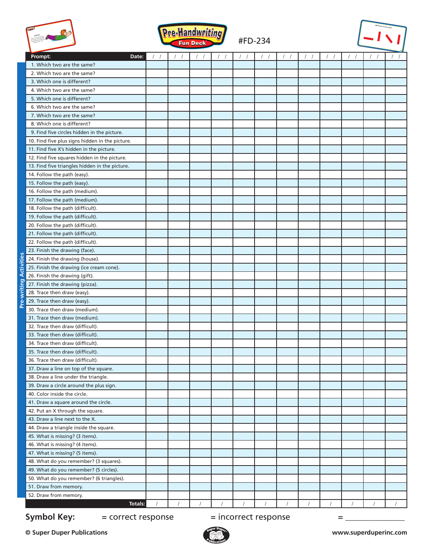| Airplane<br>Vie on your comme and<br><b>Contact Street Contact Street Contact Street Contact Street Contact Street Contact Street Contact Street Conta<br/>Contact Street Contact Street Contact Street Contact Street Contact Street Contact Street Contact Street Conta</b> |  |
|-------------------------------------------------------------------------------------------------------------------------------------------------------------------------------------------------------------------------------------------------------------------------------|--|
|                                                                                                                                                                                                                                                                               |  |





|                               | Prompt:<br>Date:                                | $\left  \quad \right $ | $\left  \right $ | $\left  \right $ | $\left  \quad \right $ | $\left  \right $ | $\left  \right $ | $\left  \right $ | $\sqrt{2}$ | $\sqrt{2}$ | $\sqrt{ }$ |  |
|-------------------------------|-------------------------------------------------|------------------------|------------------|------------------|------------------------|------------------|------------------|------------------|------------|------------|------------|--|
|                               | 1. Which two are the same?                      |                        |                  |                  |                        |                  |                  |                  |            |            |            |  |
|                               | 2. Which two are the same?                      |                        |                  |                  |                        |                  |                  |                  |            |            |            |  |
|                               | 3. Which one is different?                      |                        |                  |                  |                        |                  |                  |                  |            |            |            |  |
|                               | 4. Which two are the same?                      |                        |                  |                  |                        |                  |                  |                  |            |            |            |  |
|                               | 5. Which one is different?                      |                        |                  |                  |                        |                  |                  |                  |            |            |            |  |
|                               | 6. Which two are the same?                      |                        |                  |                  |                        |                  |                  |                  |            |            |            |  |
|                               | 7. Which two are the same?                      |                        |                  |                  |                        |                  |                  |                  |            |            |            |  |
|                               | 8. Which one is different?                      |                        |                  |                  |                        |                  |                  |                  |            |            |            |  |
|                               | 9. Find five circles hidden in the picture.     |                        |                  |                  |                        |                  |                  |                  |            |            |            |  |
|                               | 10. Find five plus signs hidden in the picture. |                        |                  |                  |                        |                  |                  |                  |            |            |            |  |
|                               | 11. Find five X's hidden in the picture.        |                        |                  |                  |                        |                  |                  |                  |            |            |            |  |
|                               | 12. Find five squares hidden in the picture.    |                        |                  |                  |                        |                  |                  |                  |            |            |            |  |
|                               | 13. Find five triangles hidden in the picture.  |                        |                  |                  |                        |                  |                  |                  |            |            |            |  |
|                               | 14. Follow the path (easy).                     |                        |                  |                  |                        |                  |                  |                  |            |            |            |  |
|                               | 15. Follow the path (easy).                     |                        |                  |                  |                        |                  |                  |                  |            |            |            |  |
|                               | 16. Follow the path (medium).                   |                        |                  |                  |                        |                  |                  |                  |            |            |            |  |
|                               | 17. Follow the path (medium).                   |                        |                  |                  |                        |                  |                  |                  |            |            |            |  |
|                               | 18. Follow the path (difficult).                |                        |                  |                  |                        |                  |                  |                  |            |            |            |  |
|                               | 19. Follow the path (difficult).                |                        |                  |                  |                        |                  |                  |                  |            |            |            |  |
|                               | 20. Follow the path (difficult).                |                        |                  |                  |                        |                  |                  |                  |            |            |            |  |
|                               | 21. Follow the path (difficult).                |                        |                  |                  |                        |                  |                  |                  |            |            |            |  |
|                               | 22. Follow the path (difficult).                |                        |                  |                  |                        |                  |                  |                  |            |            |            |  |
|                               | 23. Finish the drawing (face).                  |                        |                  |                  |                        |                  |                  |                  |            |            |            |  |
|                               | 24. Finish the drawing (house).                 |                        |                  |                  |                        |                  |                  |                  |            |            |            |  |
|                               | 25. Finish the drawing (ice cream cone).        |                        |                  |                  |                        |                  |                  |                  |            |            |            |  |
|                               | 26. Finish the drawing (gift).                  |                        |                  |                  |                        |                  |                  |                  |            |            |            |  |
|                               | 27. Finish the drawing (pizza).                 |                        |                  |                  |                        |                  |                  |                  |            |            |            |  |
|                               | 28. Trace then draw (easy).                     |                        |                  |                  |                        |                  |                  |                  |            |            |            |  |
| <b>Pre-writing Activities</b> | 29. Trace then draw (easy).                     |                        |                  |                  |                        |                  |                  |                  |            |            |            |  |
|                               | 30. Trace then draw (medium).                   |                        |                  |                  |                        |                  |                  |                  |            |            |            |  |
|                               | 31. Trace then draw (medium).                   |                        |                  |                  |                        |                  |                  |                  |            |            |            |  |
|                               | 32. Trace then draw (difficult).                |                        |                  |                  |                        |                  |                  |                  |            |            |            |  |
|                               | 33. Trace then draw (difficult).                |                        |                  |                  |                        |                  |                  |                  |            |            |            |  |
|                               | 34. Trace then draw (difficult).                |                        |                  |                  |                        |                  |                  |                  |            |            |            |  |
|                               | 35. Trace then draw (difficult).                |                        |                  |                  |                        |                  |                  |                  |            |            |            |  |
|                               | 36. Trace then draw (difficult).                |                        |                  |                  |                        |                  |                  |                  |            |            |            |  |
|                               | 37. Draw a line on top of the square.           |                        |                  |                  |                        |                  |                  |                  |            |            |            |  |
|                               | 38. Draw a line under the triangle.             |                        |                  |                  |                        |                  |                  |                  |            |            |            |  |
|                               | 39. Draw a circle around the plus sign.         |                        |                  |                  |                        |                  |                  |                  |            |            |            |  |
|                               | 40. Color inside the circle.                    |                        |                  |                  |                        |                  |                  |                  |            |            |            |  |
|                               | 41. Draw a square around the circle.            |                        |                  |                  |                        |                  |                  |                  |            |            |            |  |
|                               | 42. Put an X through the square.                |                        |                  |                  |                        |                  |                  |                  |            |            |            |  |
|                               | 43. Draw a line next to the X.                  |                        |                  |                  |                        |                  |                  |                  |            |            |            |  |
|                               | 44. Draw a triangle inside the square.          |                        |                  |                  |                        |                  |                  |                  |            |            |            |  |
|                               | 45. What is missing? (3 items).                 |                        |                  |                  |                        |                  |                  |                  |            |            |            |  |
|                               | 46. What is missing? (4 items).                 |                        |                  |                  |                        |                  |                  |                  |            |            |            |  |
|                               | 47. What is missing? (5 items).                 |                        |                  |                  |                        |                  |                  |                  |            |            |            |  |
|                               | 48. What do you remember? (3 squares).          |                        |                  |                  |                        |                  |                  |                  |            |            |            |  |
|                               | 49. What do you remember? (5 circles).          |                        |                  |                  |                        |                  |                  |                  |            |            |            |  |
|                               | 50. What do you remember? (6 triangles).        |                        |                  |                  |                        |                  |                  |                  |            |            |            |  |
|                               | 51. Draw from memory.                           |                        |                  |                  |                        |                  |                  |                  |            |            |            |  |
|                               | 52. Draw from memory.<br>Totals:                |                        |                  |                  |                        |                  |                  |                  |            |            |            |  |
|                               |                                                 |                        |                  |                  |                        |                  |                  |                  |            |            |            |  |

## **Symbol Key:**  $=$  correct response  $=$  incorrect response  $=$

**© Super Duper Publications www.superduperinc.com**